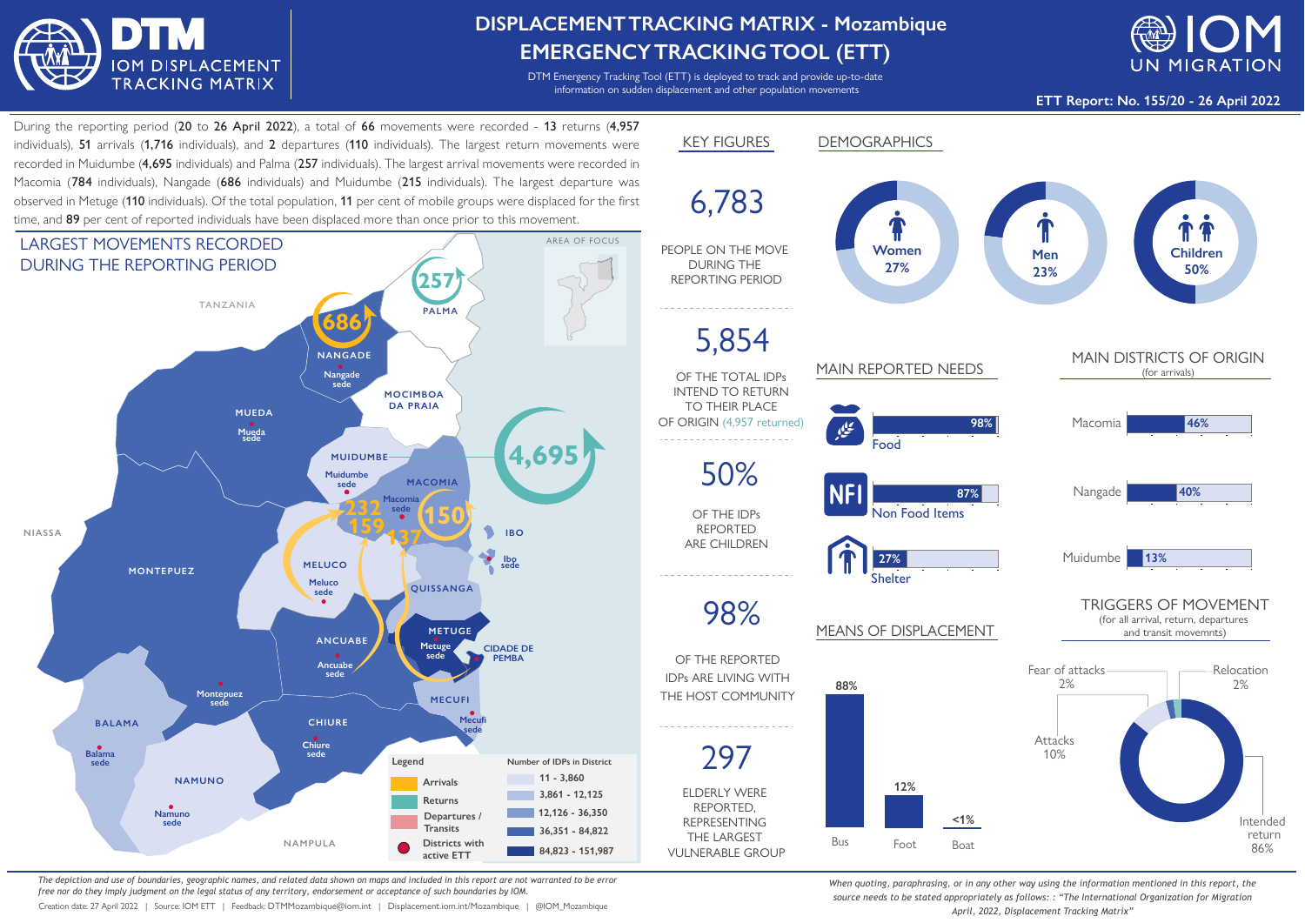

## **DISPLACEMENTTRACKING MATRIX - Mozambique EMERGENCYTRACKINGTOOL (ETT)**

DTM Emergency Tracking Tool (ETT) is deployed to track and provide up-to-date information on sudden displacement and other population movements



**ETT Report: No. 155/20 - 26 April 2022**

During the reporting period (20 to 26 April 2022), a total of 66 movements were recorded - 13 returns (4,957 individuals), 51 arrivals (1,716 individuals), and 2 departures (110 individuals). The largest return movements were recorded in Muidumbe (4,695 individuals) and Palma (257 individuals). The largest arrival movements were recorded in Macomia (784 individuals), Nangade (686 individuals) and Muidumbe (215 individuals). The largest departure was observed in Metuge (110 individuals). Of the total population, 11 per cent of mobile groups were displaced for the first time, and 89 per cent of reported individuals have been displaced more than once prior to this movement.



*The depiction and use of boundaries, geographic names, and related data shown on maps and included in this report are not warranted to be error free nor do they imply judgment on the legal status of any territory, endorsement or acceptance of such boundaries by IOM.*

Creation date: 27 April 2022 | Source: IOM ETT | Feedback: DTMMozambique@iom.int | Displacement.iom.int/Mozambique | @IOM\_Mozambique



*When quoting, paraphrasing, or in any other way using the information mentioned in this report, the source needs to be stated appropriately as follows: : "The International Organization for Migration April, 2022, Displacement Tracking Matrix"*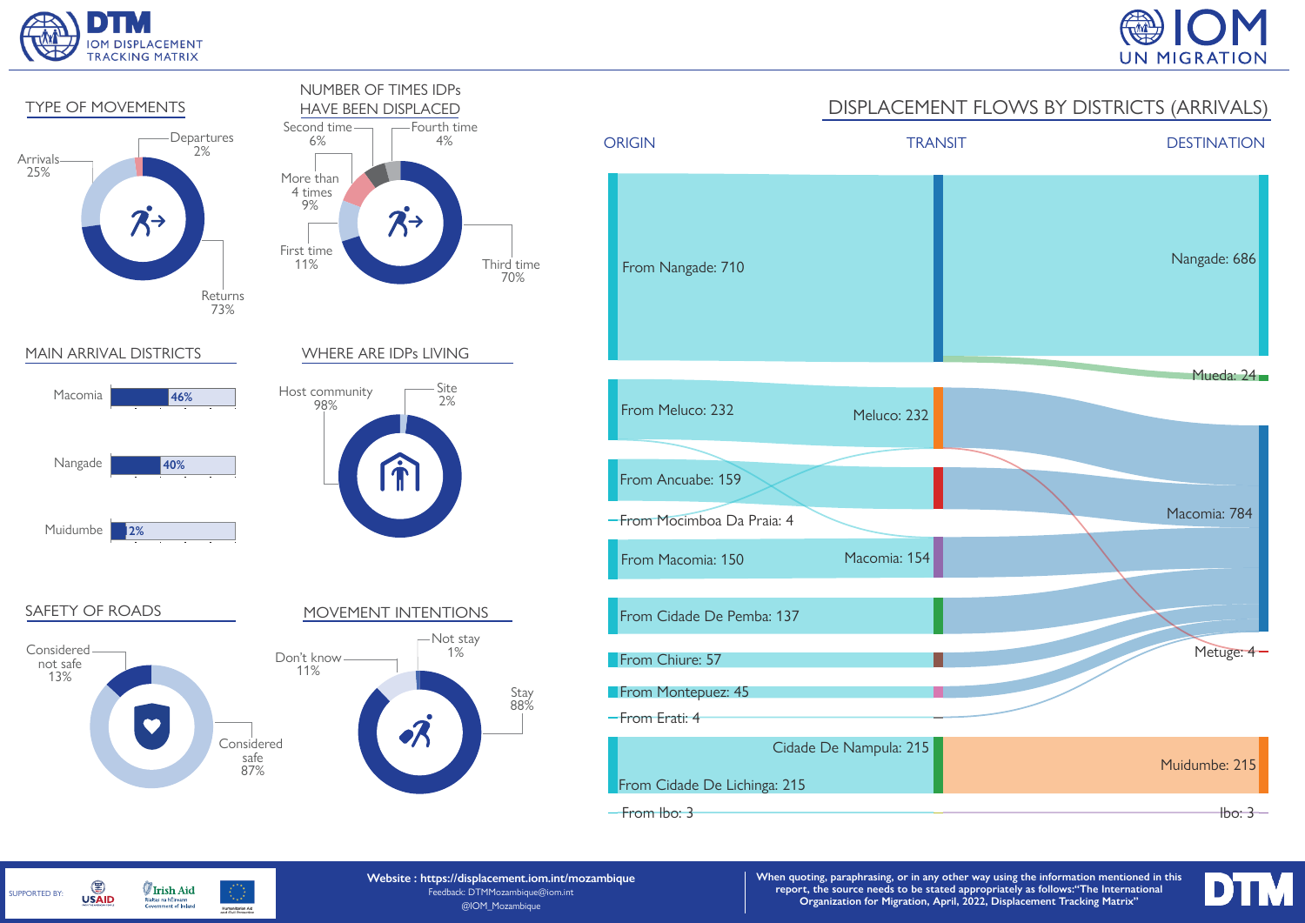

SUPPORTED BY:

G

**USAID** 

**Irish Aid** 

Rialtas na hÉireann<br>Government of Ireland

Humanitarian Aid<br>and Civil Protection





**Website : https://displacement.iom.int/mozambique** Feedback: DTMMozambique@iom.int @IOM\_Mozambique

**When quoting, paraphrasing, or in any other way using the information mentioned in this report, the source needs to be stated appropriately as follows:"The International Organization for Migration, April, 2022, Displacement Tracking Matrix"**